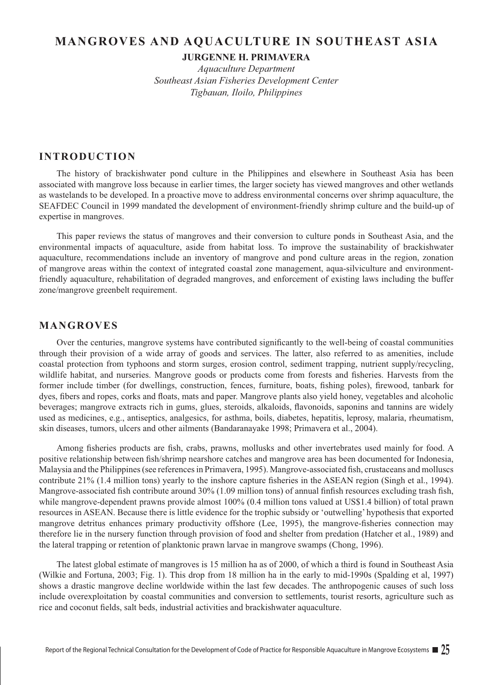# **MANGROVES AND AQUACULTURE IN SOUTHEAST ASIA**

**JURGENNE H. PRIMAVERA**

*Aquaculture Department Southeast Asian Fisheries Development Center Tigbauan, Iloilo, Philippines*

## **INTRODUCTION**

The history of brackishwater pond culture in the Philippines and elsewhere in Southeast Asia has been associated with mangrove loss because in earlier times, the larger society has viewed mangroves and other wetlands as wastelands to be developed. In a proactive move to address environmental concerns over shrimp aquaculture, the SEAFDEC Council in 1999 mandated the development of environment-friendly shrimp culture and the build-up of expertise in mangroves.

This paper reviews the status of mangroves and their conversion to culture ponds in Southeast Asia, and the environmental impacts of aquaculture, aside from habitat loss. To improve the sustainability of brackishwater aquaculture, recommendations include an inventory of mangrove and pond culture areas in the region, zonation of mangrove areas within the context of integrated coastal zone management, aqua-silviculture and environmentfriendly aquaculture, rehabilitation of degraded mangroves, and enforcement of existing laws including the buffer zone/mangrove greenbelt requirement.

# **MANGROVES**

Over the centuries, mangrove systems have contributed significantly to the well-being of coastal communities through their provision of a wide array of goods and services. The latter, also referred to as amenities, include coastal protection from typhoons and storm surges, erosion control, sediment trapping, nutrient supply/recycling, wildlife habitat, and nurseries. Mangrove goods or products come from forests and fisheries. Harvests from the former include timber (for dwellings, construction, fences, furniture, boats, fishing poles), firewood, tanbark for dyes, fibers and ropes, corks and floats, mats and paper. Mangrove plants also yield honey, vegetables and alcoholic beverages; mangrove extracts rich in gums, glues, steroids, alkaloids, flavonoids, saponins and tannins are widely used as medicines, e.g., antiseptics, analgesics, for asthma, boils, diabetes, hepatitis, leprosy, malaria, rheumatism, skin diseases, tumors, ulcers and other ailments (Bandaranayake 1998; Primavera et al., 2004).

Among fisheries products are fish, crabs, prawns, mollusks and other invertebrates used mainly for food. A positive relationship between fish/shrimp nearshore catches and mangrove area has been documented for Indonesia, Malaysia and the Philippines (see references in Primavera, 1995). Mangrove-associated fish, crustaceans and molluscs contribute 21% (1.4 million tons) yearly to the inshore capture fisheries in the ASEAN region (Singh et al., 1994). Mangrove-associated fish contribute around 30% (1.09 million tons) of annual finfish resources excluding trash fish, while mangrove-dependent prawns provide almost 100% (0.4 million tons valued at US\$1.4 billion) of total prawn resources in ASEAN. Because there is little evidence for the trophic subsidy or 'outwelling' hypothesis that exported mangrove detritus enhances primary productivity offshore (Lee, 1995), the mangrove-fisheries connection may therefore lie in the nursery function through provision of food and shelter from predation (Hatcher et al., 1989) and the lateral trapping or retention of planktonic prawn larvae in mangrove swamps (Chong, 1996).

The latest global estimate of mangroves is 15 million ha as of 2000, of which a third is found in Southeast Asia (Wilkie and Fortuna, 2003; Fig. 1). This drop from 18 million ha in the early to mid-1990s (Spalding et al, 1997) shows a drastic mangrove decline worldwide within the last few decades. The anthropogenic causes of such loss include overexploitation by coastal communities and conversion to settlements, tourist resorts, agriculture such as rice and coconut fields, salt beds, industrial activities and brackishwater aquaculture.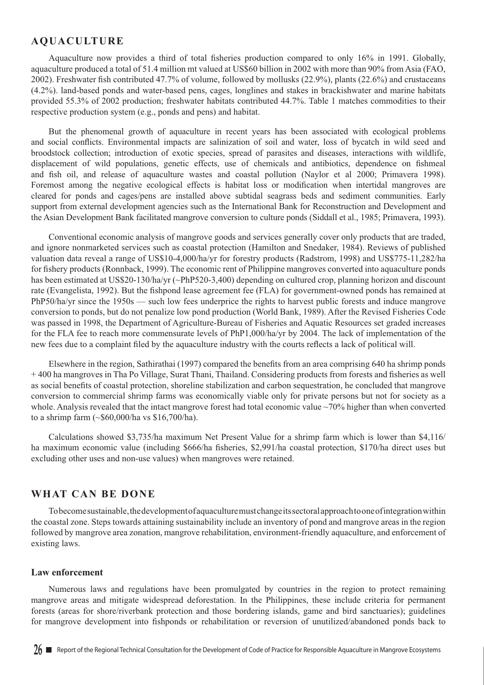## **AQUACULTURE**

Aquaculture now provides a third of total fisheries production compared to only 16% in 1991. Globally, aquaculture produced a total of 51.4 million mt valued at US\$60 billion in 2002 with more than 90% from Asia (FAO, 2002). Freshwater fish contributed 47.7% of volume, followed by mollusks (22.9%), plants (22.6%) and crustaceans (4.2%). land-based ponds and water-based pens, cages, longlines and stakes in brackishwater and marine habitats provided 55.3% of 2002 production; freshwater habitats contributed 44.7%. Table 1 matches commodities to their respective production system (e.g., ponds and pens) and habitat.

But the phenomenal growth of aquaculture in recent years has been associated with ecological problems and social conflicts. Environmental impacts are salinization of soil and water, loss of bycatch in wild seed and broodstock collection; introduction of exotic species, spread of parasites and diseases, interactions with wildlife, displacement of wild populations, genetic effects, use of chemicals and antibiotics, dependence on fishmeal and fish oil, and release of aquaculture wastes and coastal pollution (Naylor et al 2000; Primavera 1998). Foremost among the negative ecological effects is habitat loss or modification when intertidal mangroves are cleared for ponds and cages/pens are installed above subtidal seagrass beds and sediment communities. Early support from external development agencies such as the International Bank for Reconstruction and Development and the Asian Development Bank facilitated mangrove conversion to culture ponds (Siddall et al., 1985; Primavera, 1993).

Conventional economic analysis of mangrove goods and services generally cover only products that are traded, and ignore nonmarketed services such as coastal protection (Hamilton and Snedaker, 1984). Reviews of published valuation data reveal a range of US\$10-4,000/ha/yr for forestry products (Radstrom, 1998) and US\$775-11,282/ha for fishery products (Ronnback, 1999). The economic rent of Philippine mangroves converted into aquaculture ponds has been estimated at US\$20-130/ha/yr (~PhP520-3,400) depending on cultured crop, planning horizon and discount rate (Evangelista, 1992). But the fishpond lease agreement fee (FLA) for government-owned ponds has remained at PhP50/ha/yr since the 1950s — such low fees underprice the rights to harvest public forests and induce mangrove conversion to ponds, but do not penalize low pond production (World Bank, 1989). After the Revised Fisheries Code was passed in 1998, the Department of Agriculture-Bureau of Fisheries and Aquatic Resources set graded increases for the FLA fee to reach more commensurate levels of PhP1,000/ha/yr by 2004. The lack of implementation of the new fees due to a complaint filed by the aquaculture industry with the courts reflects a lack of political will.

Elsewhere in the region, Sathirathai (1997) compared the benefits from an area comprising 640 ha shrimp ponds + 400 ha mangroves in Tha Po Village, Surat Thani, Thailand. Considering products from forests and fisheries as well as social benefits of coastal protection, shoreline stabilization and carbon sequestration, he concluded that mangrove conversion to commercial shrimp farms was economically viable only for private persons but not for society as a whole. Analysis revealed that the intact mangrove forest had total economic value ~70% higher than when converted to a shrimp farm (~\$60,000/ha vs \$16,700/ha).

Calculations showed \$3,735/ha maximum Net Present Value for a shrimp farm which is lower than \$4,116/ ha maximum economic value (including \$666/ha fisheries, \$2,991/ha coastal protection, \$170/ha direct uses but excluding other uses and non-use values) when mangroves were retained.

## **WHAT CAN BE DONE**

To become sustainable, the development of aquaculture must change its sectoral approach to one of integration within the coastal zone. Steps towards attaining sustainability include an inventory of pond and mangrove areas in the region followed by mangrove area zonation, mangrove rehabilitation, environment-friendly aquaculture, and enforcement of existing laws.

#### **Law enforcement**

Numerous laws and regulations have been promulgated by countries in the region to protect remaining mangrove areas and mitigate widespread deforestation. In the Philippines, these include criteria for permanent forests (areas for shore/riverbank protection and those bordering islands, game and bird sanctuaries); guidelines for mangrove development into fishponds or rehabilitation or reversion of unutilized/abandoned ponds back to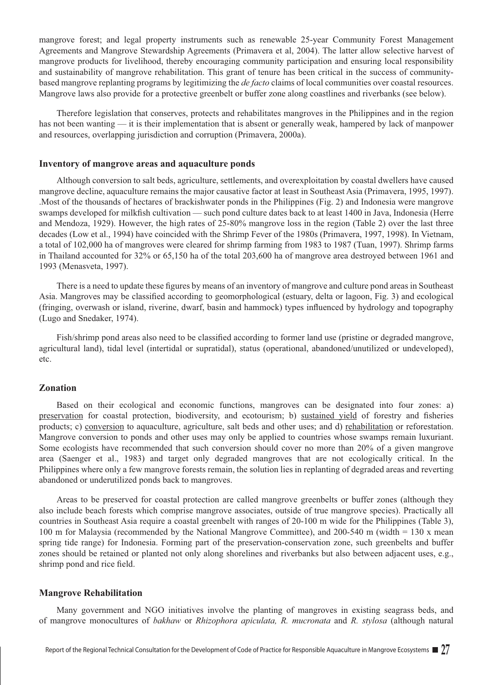mangrove forest; and legal property instruments such as renewable 25-year Community Forest Management Agreements and Mangrove Stewardship Agreements (Primavera et al, 2004). The latter allow selective harvest of mangrove products for livelihood, thereby encouraging community participation and ensuring local responsibility and sustainability of mangrove rehabilitation. This grant of tenure has been critical in the success of communitybased mangrove replanting programs by legitimizing the *de facto* claims of local communities over coastal resources. Mangrove laws also provide for a protective greenbelt or buffer zone along coastlines and riverbanks (see below).

Therefore legislation that conserves, protects and rehabilitates mangroves in the Philippines and in the region has not been wanting — it is their implementation that is absent or generally weak, hampered by lack of manpower and resources, overlapping jurisdiction and corruption (Primavera, 2000a).

#### **Inventory of mangrove areas and aquaculture ponds**

Although conversion to salt beds, agriculture, settlements, and overexploitation by coastal dwellers have caused mangrove decline, aquaculture remains the major causative factor at least in Southeast Asia (Primavera, 1995, 1997). .Most of the thousands of hectares of brackishwater ponds in the Philippines (Fig. 2) and Indonesia were mangrove swamps developed for milkfish cultivation — such pond culture dates back to at least 1400 in Java, Indonesia (Herre and Mendoza, 1929). However, the high rates of 25-80% mangrove loss in the region (Table 2) over the last three decades (Low et al., 1994) have coincided with the Shrimp Fever of the 1980s (Primavera, 1997, 1998). In Vietnam, a total of 102,000 ha of mangroves were cleared for shrimp farming from 1983 to 1987 (Tuan, 1997). Shrimp farms in Thailand accounted for 32% or 65,150 ha of the total 203,600 ha of mangrove area destroyed between 1961 and 1993 (Menasveta, 1997).

There is a need to update these figures by means of an inventory of mangrove and culture pond areas in Southeast Asia. Mangroves may be classified according to geomorphological (estuary, delta or lagoon, Fig. 3) and ecological (fringing, overwash or island, riverine, dwarf, basin and hammock) types influenced by hydrology and topography (Lugo and Snedaker, 1974).

Fish/shrimp pond areas also need to be classified according to former land use (pristine or degraded mangrove, agricultural land), tidal level (intertidal or supratidal), status (operational, abandoned/unutilized or undeveloped), etc.

### **Zonation**

Based on their ecological and economic functions, mangroves can be designated into four zones: a) preservation for coastal protection, biodiversity, and ecotourism; b) sustained yield of forestry and fisheries products; c) conversion to aquaculture, agriculture, salt beds and other uses; and d) rehabilitation or reforestation. Mangrove conversion to ponds and other uses may only be applied to countries whose swamps remain luxuriant. Some ecologists have recommended that such conversion should cover no more than 20% of a given mangrove area (Saenger et al., 1983) and target only degraded mangroves that are not ecologically critical. In the Philippines where only a few mangrove forests remain, the solution lies in replanting of degraded areas and reverting abandoned or underutilized ponds back to mangroves.

Areas to be preserved for coastal protection are called mangrove greenbelts or buffer zones (although they also include beach forests which comprise mangrove associates, outside of true mangrove species). Practically all countries in Southeast Asia require a coastal greenbelt with ranges of 20-100 m wide for the Philippines (Table 3), 100 m for Malaysia (recommended by the National Mangrove Committee), and 200-540 m (width = 130 x mean spring tide range) for Indonesia. Forming part of the preservation-conservation zone, such greenbelts and buffer zones should be retained or planted not only along shorelines and riverbanks but also between adjacent uses, e.g., shrimp pond and rice field.

#### **Mangrove Rehabilitation**

Many government and NGO initiatives involve the planting of mangroves in existing seagrass beds, and of mangrove monocultures of *bakhaw* or *Rhizophora apiculata, R. mucronata* and *R. stylosa* (although natural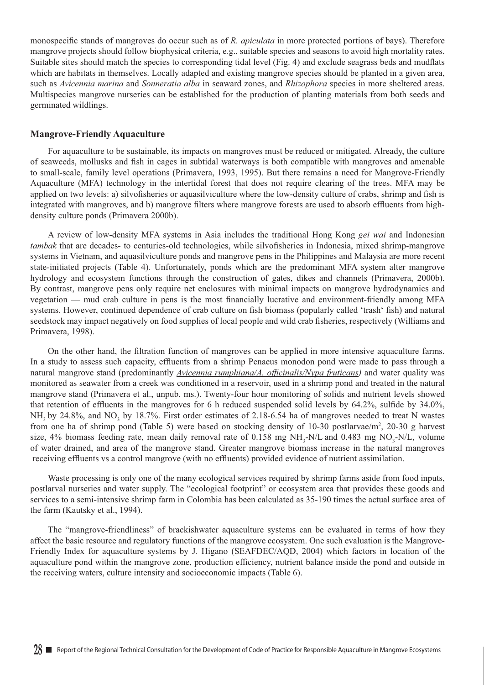monospecific stands of mangroves do occur such as of *R. apiculata* in more protected portions of bays). Therefore mangrove projects should follow biophysical criteria, e.g., suitable species and seasons to avoid high mortality rates. Suitable sites should match the species to corresponding tidal level (Fig. 4) and exclude seagrass beds and mudflats which are habitats in themselves. Locally adapted and existing mangrove species should be planted in a given area, such as *Avicennia marina* and *Sonneratia alba* in seaward zones, and *Rhizophora* species in more sheltered areas. Multispecies mangrove nurseries can be established for the production of planting materials from both seeds and germinated wildlings.

#### **Mangrove-Friendly Aquaculture**

For aquaculture to be sustainable, its impacts on mangroves must be reduced or mitigated. Already, the culture of seaweeds, mollusks and fish in cages in subtidal waterways is both compatible with mangroves and amenable to small-scale, family level operations (Primavera, 1993, 1995). But there remains a need for Mangrove-Friendly Aquaculture (MFA) technology in the intertidal forest that does not require clearing of the trees. MFA may be applied on two levels: a) silvofisheries or aquasilviculture where the low-density culture of crabs, shrimp and fish is integrated with mangroves, and b) mangrove filters where mangrove forests are used to absorb effluents from highdensity culture ponds (Primavera 2000b).

A review of low-density MFA systems in Asia includes the traditional Hong Kong *gei wai* and Indonesian *tambak* that are decades- to centuries-old technologies, while silvofisheries in Indonesia, mixed shrimp-mangrove systems in Vietnam, and aquasilviculture ponds and mangrove pens in the Philippines and Malaysia are more recent state-initiated projects (Table 4). Unfortunately, ponds which are the predominant MFA system alter mangrove hydrology and ecosystem functions through the construction of gates, dikes and channels (Primavera, 2000b). By contrast, mangrove pens only require net enclosures with minimal impacts on mangrove hydrodynamics and vegetation — mud crab culture in pens is the most financially lucrative and environment-friendly among MFA systems. However, continued dependence of crab culture on fish biomass (popularly called 'trash' fish) and natural seedstock may impact negatively on food supplies of local people and wild crab fisheries, respectively (Williams and Primavera, 1998).

On the other hand, the filtration function of mangroves can be applied in more intensive aquaculture farms. In a study to assess such capacity, effluents from a shrimp Penaeus monodon pond were made to pass through a natural mangrove stand (predominantly *Avicennia rumphiana/A. officinalis/Nypa fruticans)* and water quality was monitored as seawater from a creek was conditioned in a reservoir, used in a shrimp pond and treated in the natural mangrove stand (Primavera et al., unpub. ms.). Twenty-four hour monitoring of solids and nutrient levels showed that retention of effluents in the mangroves for 6 h reduced suspended solid levels by 64.2%, sulfide by 34.0%,  $NH<sub>3</sub>$  by 24.8%, and NO<sub>3</sub> by 18.7%. First order estimates of 2.18-6.54 ha of mangroves needed to treat N wastes from one ha of shrimp pond (Table 5) were based on stocking density of 10-30 postlarvae/m<sup>2</sup>, 20-30 g harvest size, 4% biomass feeding rate, mean daily removal rate of  $0.158$  mg NH<sub>3</sub>-N/L and  $0.483$  mg NO<sub>3</sub>-N/L, volume of water drained, and area of the mangrove stand. Greater mangrove biomass increase in the natural mangroves receiving effluents vs a control mangrove (with no effluents) provided evidence of nutrient assimilation.

Waste processing is only one of the many ecological services required by shrimp farms aside from food inputs, postlarval nurseries and water supply. The "ecological footprint" or ecosystem area that provides these goods and services to a semi-intensive shrimp farm in Colombia has been calculated as 35-190 times the actual surface area of the farm (Kautsky et al., 1994).

The "mangrove-friendliness" of brackishwater aquaculture systems can be evaluated in terms of how they affect the basic resource and regulatory functions of the mangrove ecosystem. One such evaluation is the Mangrove-Friendly Index for aquaculture systems by J. Higano (SEAFDEC/AQD, 2004) which factors in location of the aquaculture pond within the mangrove zone, production efficiency, nutrient balance inside the pond and outside in the receiving waters, culture intensity and socioeconomic impacts (Table 6).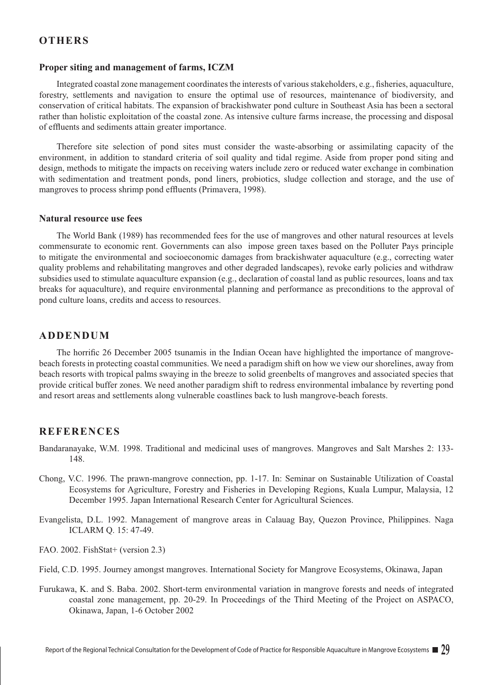## **OTHERS**

#### **Proper siting and management of farms, ICZM**

Integrated coastal zone management coordinates the interests of various stakeholders, e.g., fisheries, aquaculture, forestry, settlements and navigation to ensure the optimal use of resources, maintenance of biodiversity, and conservation of critical habitats. The expansion of brackishwater pond culture in Southeast Asia has been a sectoral rather than holistic exploitation of the coastal zone. As intensive culture farms increase, the processing and disposal of effluents and sediments attain greater importance.

Therefore site selection of pond sites must consider the waste-absorbing or assimilating capacity of the environment, in addition to standard criteria of soil quality and tidal regime. Aside from proper pond siting and design, methods to mitigate the impacts on receiving waters include zero or reduced water exchange in combination with sedimentation and treatment ponds, pond liners, probiotics, sludge collection and storage, and the use of mangroves to process shrimp pond effluents (Primavera, 1998).

#### **Natural resource use fees**

The World Bank (1989) has recommended fees for the use of mangroves and other natural resources at levels commensurate to economic rent. Governments can also impose green taxes based on the Polluter Pays principle to mitigate the environmental and socioeconomic damages from brackishwater aquaculture (e.g., correcting water quality problems and rehabilitating mangroves and other degraded landscapes), revoke early policies and withdraw subsidies used to stimulate aquaculture expansion (e.g., declaration of coastal land as public resources, loans and tax breaks for aquaculture), and require environmental planning and performance as preconditions to the approval of pond culture loans, credits and access to resources.

### **ADDENDUM**

The horrific 26 December 2005 tsunamis in the Indian Ocean have highlighted the importance of mangrovebeach forests in protecting coastal communities. We need a paradigm shift on how we view our shorelines, away from beach resorts with tropical palms swaying in the breeze to solid greenbelts of mangroves and associated species that provide critical buffer zones. We need another paradigm shift to redress environmental imbalance by reverting pond and resort areas and settlements along vulnerable coastlines back to lush mangrove-beach forests.

## **REFERENCES**

- Bandaranayake, W.M. 1998. Traditional and medicinal uses of mangroves. Mangroves and Salt Marshes 2: 133- 148.
- Chong, V.C. 1996. The prawn-mangrove connection, pp. 1-17. In: Seminar on Sustainable Utilization of Coastal Ecosystems for Agriculture, Forestry and Fisheries in Developing Regions, Kuala Lumpur, Malaysia, 12 December 1995. Japan International Research Center for Agricultural Sciences.
- Evangelista, D.L. 1992. Management of mangrove areas in Calauag Bay, Quezon Province, Philippines. Naga ICLARM Q. 15: 47-49.
- FAO. 2002. FishStat+ (version 2.3)
- Field, C.D. 1995. Journey amongst mangroves. International Society for Mangrove Ecosystems, Okinawa, Japan
- Furukawa, K. and S. Baba. 2002. Short-term environmental variation in mangrove forests and needs of integrated coastal zone management, pp. 20-29. In Proceedings of the Third Meeting of the Project on ASPACO, Okinawa, Japan, 1-6 October 2002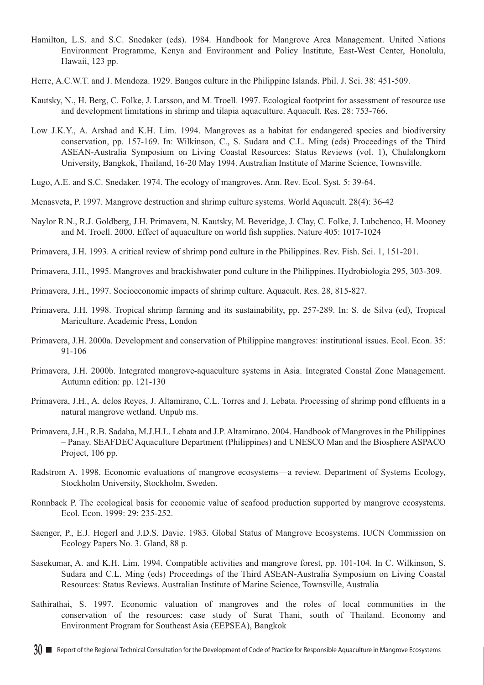- Hamilton, L.S. and S.C. Snedaker (eds). 1984. Handbook for Mangrove Area Management. United Nations Environment Programme, Kenya and Environment and Policy Institute, East-West Center, Honolulu, Hawaii, 123 pp.
- Herre, A.C.W.T. and J. Mendoza. 1929. Bangos culture in the Philippine Islands. Phil. J. Sci. 38: 451-509.
- Kautsky, N., H. Berg, C. Folke, J. Larsson, and M. Troell. 1997. Ecological footprint for assessment of resource use and development limitations in shrimp and tilapia aquaculture. Aquacult. Res. 28: 753-766.
- Low J.K.Y., A. Arshad and K.H. Lim. 1994. Mangroves as a habitat for endangered species and biodiversity conservation, pp. 157-169. In: Wilkinson, C., S. Sudara and C.L. Ming (eds) Proceedings of the Third ASEAN-Australia Symposium on Living Coastal Resources: Status Reviews (vol. 1), Chulalongkorn University, Bangkok, Thailand, 16-20 May 1994. Australian Institute of Marine Science, Townsville.
- Lugo, A.E. and S.C. Snedaker. 1974. The ecology of mangroves. Ann. Rev. Ecol. Syst. 5: 39-64.
- Menasveta, P. 1997. Mangrove destruction and shrimp culture systems. World Aquacult. 28(4): 36-42
- Naylor R.N., R.J. Goldberg, J.H. Primavera, N. Kautsky, M. Beveridge, J. Clay, C. Folke, J. Lubchenco, H. Mooney and M. Troell. 2000. Effect of aquaculture on world fish supplies. Nature 405: 1017-1024
- Primavera, J.H. 1993. A critical review of shrimp pond culture in the Philippines. Rev. Fish. Sci. 1, 151-201.
- Primavera, J.H., 1995. Mangroves and brackishwater pond culture in the Philippines. Hydrobiologia 295, 303-309.
- Primavera, J.H., 1997. Socioeconomic impacts of shrimp culture. Aquacult. Res. 28, 815-827.
- Primavera, J.H. 1998. Tropical shrimp farming and its sustainability, pp. 257-289. In: S. de Silva (ed), Tropical Mariculture. Academic Press, London
- Primavera, J.H. 2000a. Development and conservation of Philippine mangroves: institutional issues. Ecol. Econ. 35: 91-106
- Primavera, J.H. 2000b. Integrated mangrove-aquaculture systems in Asia. Integrated Coastal Zone Management. Autumn edition: pp. 121-130
- Primavera, J.H., A. delos Reyes, J. Altamirano, C.L. Torres and J. Lebata. Processing of shrimp pond effluents in a natural mangrove wetland. Unpub ms.
- Primavera, J.H., R.B. Sadaba, M.J.H.L. Lebata and J.P. Altamirano. 2004. Handbook of Mangroves in the Philippines – Panay. SEAFDEC Aquaculture Department (Philippines) and UNESCO Man and the Biosphere ASPACO Project, 106 pp.
- Radstrom A. 1998. Economic evaluations of mangrove ecosystems—a review. Department of Systems Ecology, Stockholm University, Stockholm, Sweden.
- Ronnback P. The ecological basis for economic value of seafood production supported by mangrove ecosystems. Ecol. Econ. 1999: 29: 235-252.
- Saenger, P., E.J. Hegerl and J.D.S. Davie. 1983. Global Status of Mangrove Ecosystems. IUCN Commission on Ecology Papers No. 3. Gland, 88 p.
- Sasekumar, A. and K.H. Lim. 1994. Compatible activities and mangrove forest, pp. 101-104. In C. Wilkinson, S. Sudara and C.L. Ming (eds) Proceedings of the Third ASEAN-Australia Symposium on Living Coastal Resources: Status Reviews. Australian Institute of Marine Science, Townsville, Australia
- Sathirathai, S. 1997. Economic valuation of mangroves and the roles of local communities in the conservation of the resources: case study of Surat Thani, south of Thailand. Economy and Environment Program for Southeast Asia (EEPSEA), Bangkok
- **30 EXECUTE:** Report of the Regional Technical Consultation for the Development of Code of Practice for Responsible Aquaculture in Mangrove Ecosystems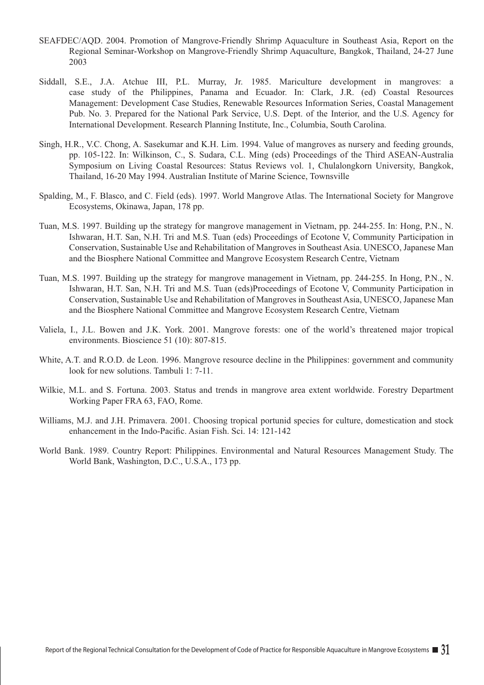- SEAFDEC/AQD. 2004. Promotion of Mangrove-Friendly Shrimp Aquaculture in Southeast Asia, Report on the Regional Seminar-Workshop on Mangrove-Friendly Shrimp Aquaculture, Bangkok, Thailand, 24-27 June 2003
- Siddall, S.E., J.A. Atchue III, P.L. Murray, Jr. 1985. Mariculture development in mangroves: a case study of the Philippines, Panama and Ecuador. In: Clark, J.R. (ed) Coastal Resources Management: Development Case Studies, Renewable Resources Information Series, Coastal Management Pub. No. 3. Prepared for the National Park Service, U.S. Dept. of the Interior, and the U.S. Agency for International Development. Research Planning Institute, Inc., Columbia, South Carolina.
- Singh, H.R., V.C. Chong, A. Sasekumar and K.H. Lim. 1994. Value of mangroves as nursery and feeding grounds, pp. 105-122. In: Wilkinson, C., S. Sudara, C.L. Ming (eds) Proceedings of the Third ASEAN-Australia Symposium on Living Coastal Resources: Status Reviews vol. 1, Chulalongkorn University, Bangkok, Thailand, 16-20 May 1994. Australian Institute of Marine Science, Townsville
- Spalding, M., F. Blasco, and C. Field (eds). 1997. World Mangrove Atlas. The International Society for Mangrove Ecosystems, Okinawa, Japan, 178 pp.
- Tuan, M.S. 1997. Building up the strategy for mangrove management in Vietnam, pp. 244-255. In: Hong, P.N., N. Ishwaran, H.T. San, N.H. Tri and M.S. Tuan (eds) Proceedings of Ecotone V, Community Participation in Conservation, Sustainable Use and Rehabilitation of Mangroves in Southeast Asia. UNESCO, Japanese Man and the Biosphere National Committee and Mangrove Ecosystem Research Centre, Vietnam
- Tuan, M.S. 1997. Building up the strategy for mangrove management in Vietnam, pp. 244-255. In Hong, P.N., N. Ishwaran, H.T. San, N.H. Tri and M.S. Tuan (eds)Proceedings of Ecotone V, Community Participation in Conservation, Sustainable Use and Rehabilitation of Mangroves in Southeast Asia, UNESCO, Japanese Man and the Biosphere National Committee and Mangrove Ecosystem Research Centre, Vietnam
- Valiela, I., J.L. Bowen and J.K. York. 2001. Mangrove forests: one of the world's threatened major tropical environments. Bioscience 51 (10): 807-815.
- White, A.T. and R.O.D. de Leon. 1996. Mangrove resource decline in the Philippines: government and community look for new solutions. Tambuli 1: 7-11.
- Wilkie, M.L. and S. Fortuna. 2003. Status and trends in mangrove area extent worldwide. Forestry Department Working Paper FRA 63, FAO, Rome.
- Williams, M.J. and J.H. Primavera. 2001. Choosing tropical portunid species for culture, domestication and stock enhancement in the Indo-Pacific. Asian Fish. Sci. 14: 121-142
- World Bank. 1989. Country Report: Philippines. Environmental and Natural Resources Management Study. The World Bank, Washington, D.C., U.S.A., 173 pp.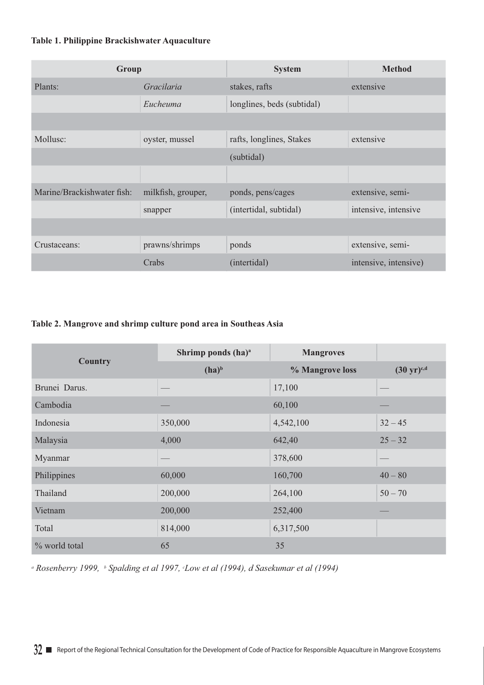## **Table 1. Philippine Brackishwater Aquaculture**

| Group                      |                    | <b>System</b>              | <b>Method</b>         |  |
|----------------------------|--------------------|----------------------------|-----------------------|--|
| Plants:                    | Gracilaria         | stakes, rafts              | extensive             |  |
|                            | Eucheuma           | longlines, beds (subtidal) |                       |  |
|                            |                    |                            |                       |  |
| Mollusc:                   | oyster, mussel     | rafts, longlines, Stakes   | extensive             |  |
|                            |                    | (subtidal)                 |                       |  |
|                            |                    |                            |                       |  |
| Marine/Brackishwater fish: | milkfish, grouper, | ponds, pens/cages          | extensive, semi-      |  |
|                            | snapper            | (intertidal, subtidal)     | intensive, intensive  |  |
|                            |                    |                            |                       |  |
| Crustaceans:               | prawns/shrimps     | ponds                      | extensive, semi-      |  |
|                            | Crabs              | (intertidal)               | intensive, intensive) |  |

## **Table 2. Mangrove and shrimp culture pond area in Southeas Asia**

|                | Shrimp ponds (ha) <sup>a</sup> | <b>Mangroves</b> |                                |  |
|----------------|--------------------------------|------------------|--------------------------------|--|
| <b>Country</b> | $(ha)^b$                       | % Mangrove loss  | $(30 \text{ yr})^{\text{c,d}}$ |  |
| Brunei Darus.  |                                | 17,100           |                                |  |
| Cambodia       |                                | 60,100           |                                |  |
| Indonesia      | 350,000                        | 4,542,100        | $32 - 45$                      |  |
| Malaysia       | 4,000                          | 642,40           | $25 - 32$                      |  |
| Myanmar        |                                | 378,600          |                                |  |
| Philippines    | 60,000                         | 160,700          | $40 - 80$                      |  |
| Thailand       | 200,000                        | 264,100          | $50 - 70$                      |  |
| Vietnam        | 200,000                        | 252,400          |                                |  |
| Total          | 814,000                        | 6,317,500        |                                |  |
| % world total  | 65                             | 35               |                                |  |

<sup>a</sup> Rosenberry 1999, b Spalding et al 1997, *Low et al (1994), d Sasekumar et al (1994)*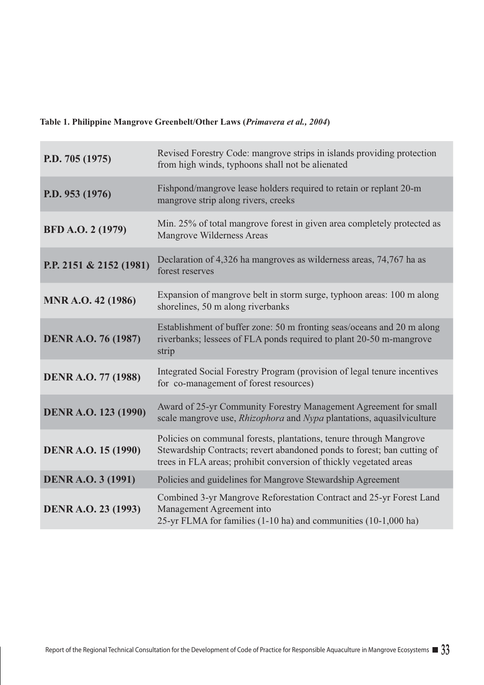# **Table 1. Philippine Mangrove Greenbelt/Other Laws (***Primavera et al., 2004***)**

r.

| P.D. 705 (1975)            | Revised Forestry Code: mangrove strips in islands providing protection<br>from high winds, typhoons shall not be alienated                                                                                          |
|----------------------------|---------------------------------------------------------------------------------------------------------------------------------------------------------------------------------------------------------------------|
| P.D. 953 (1976)            | Fishpond/mangrove lease holders required to retain or replant 20-m<br>mangrove strip along rivers, creeks                                                                                                           |
| BFD A.O. 2 (1979)          | Min. 25% of total mangrove forest in given area completely protected as<br>Mangrove Wilderness Areas                                                                                                                |
| P.P. 2151 & 2152 (1981)    | Declaration of 4,326 ha mangroves as wilderness areas, 74,767 ha as<br>forest reserves                                                                                                                              |
| <b>MNR A.O. 42 (1986)</b>  | Expansion of mangrove belt in storm surge, typhoon areas: 100 m along<br>shorelines, 50 m along riverbanks                                                                                                          |
| <b>DENR A.O. 76 (1987)</b> | Establishment of buffer zone: 50 m fronting seas/oceans and 20 m along<br>riverbanks; lessees of FLA ponds required to plant 20-50 m-mangrove<br>strip                                                              |
| <b>DENR A.O. 77 (1988)</b> | Integrated Social Forestry Program (provision of legal tenure incentives<br>for co-management of forest resources)                                                                                                  |
| DENR A.O. 123 (1990)       | Award of 25-yr Community Forestry Management Agreement for small<br>scale mangrove use, <i>Rhizophora</i> and <i>Nypa</i> plantations, aquasilviculture                                                             |
| <b>DENR A.O. 15 (1990)</b> | Policies on communal forests, plantations, tenure through Mangrove<br>Stewardship Contracts; revert abandoned ponds to forest; ban cutting of<br>trees in FLA areas; prohibit conversion of thickly vegetated areas |
| <b>DENR A.O. 3 (1991)</b>  | Policies and guidelines for Mangrove Stewardship Agreement                                                                                                                                                          |
| <b>DENR A.O. 23 (1993)</b> | Combined 3-yr Mangrove Reforestation Contract and 25-yr Forest Land<br>Management Agreement into<br>25-yr FLMA for families (1-10 ha) and communities (10-1,000 ha)                                                 |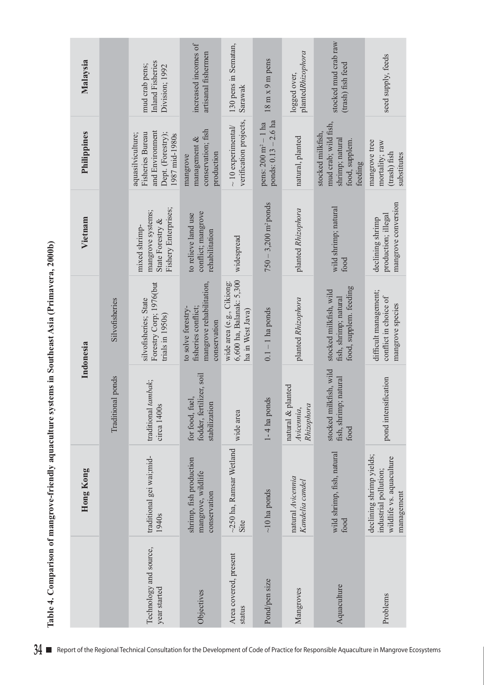| .<br>(<br>j<br>ļ<br>l                                                                                                                                                                                                                                                    |
|--------------------------------------------------------------------------------------------------------------------------------------------------------------------------------------------------------------------------------------------------------------------------|
|                                                                                                                                                                                                                                                                          |
| ▲ # # # # # # # # # #                                                                                                                                                                                                                                                    |
|                                                                                                                                                                                                                                                                          |
|                                                                                                                                                                                                                                                                          |
| is a family of the contract of the contract of the contract of the contract of the contract of the contract of the contract of the contract of the contract of the contract of the contract of the contract of the contract of<br>イー・ラく くまて<br>1<br>$\ddot{\phantom{a}}$ |
| j<br>j                                                                                                                                                                                                                                                                   |
| $2 + 2 + 2$ and $2 + 2 + 2 + 2$<br>D                                                                                                                                                                                                                                     |
| ¢                                                                                                                                                                                                                                                                        |
| i<br>į<br>Ì                                                                                                                                                                                                                                                              |
| $\dot{\bullet}$                                                                                                                                                                                                                                                          |

| Malaysia    |                   | Inland Fisheries<br>mud crab pens;<br>Division; 1992                                                   | increased incomes of<br>artisanal fishermen                                           | 130 pens in Sematan,<br>Sarawak                                           | $18 \text{ m} \times 9 \text{ m}$ pens                           | plantedRhizophora<br>logged over,                  | stocked mud crab raw<br>(trash) fish feed                                                 | seed supply, feeds                                                                          |
|-------------|-------------------|--------------------------------------------------------------------------------------------------------|---------------------------------------------------------------------------------------|---------------------------------------------------------------------------|------------------------------------------------------------------|----------------------------------------------------|-------------------------------------------------------------------------------------------|---------------------------------------------------------------------------------------------|
| Philippines |                   | and Environment<br><b>Fisheries Bureau</b><br>Dept. (Forestry);<br>aquasilviculture;<br>1987 mid-1980s | conservation; fish<br>management $\&$<br>production<br>mangrove                       | verification projects,<br>$\sim 10$ experimental/                         | ponds: $0.13 - 2.6$ ha<br>pens: $200 \text{ m}^2 - 1 \text{ ha}$ | natural, planted                                   | mud crab; wild fish,<br>stocked milkfish,<br>shrimp; natural<br>food, supplem.<br>feeding | mangrove tree<br>mortality; raw<br>(trash) fish<br>substitutes                              |
| Vietnam     |                   | Fishery Enterprises;<br>mangrove systems;<br>State Forestry &<br>mixed shrimp-                         | conflict; mangrove<br>to relieve land use<br>rehabilitation                           | widespread                                                                | $750 - 3,200$ m <sup>2</sup> ponds                               | planted Rhizophora                                 | wild shrimp; natural<br>food                                                              | mangrove conversion<br>production; illegal<br>declining shrimp                              |
| Indonesia   | Silvofisheries    | Forestry Corp; 1976(but<br>silvofisheries; State<br>trials in 1950s)                                   | mangrove rehabilitation,<br>to solve forestry-<br>fisheries conflict;<br>conservation | 6,600 ha, Balanak: 5,300<br>wide area (e.g., Cikiong:<br>ha in West Java) | $0.1 - 1$ ha ponds                                               | planted Rhizophora                                 | food, supplem. feeding<br>stocked milkfish, wild<br>fish, shrimp; natural                 | difficult management;<br>conflict in choice of<br>mangrove species                          |
|             | Traditional ponds | traditional tambak;<br>circa 1400s                                                                     | fodder, fertilizer, soil<br>for food, fuel,<br>stabilization                          | wide area                                                                 | $1 - 4$ ha ponds                                                 | lanted<br>natural & pl<br>Rhizophora<br>Avicennia, | kfish, wild<br>fish, shrimp; natural<br>stocked mill<br>food                              | pond intensification                                                                        |
| Hong Kong   |                   | traditional gei wai;mid-<br>1940s                                                                      | shrimp, fish production<br>mangrove, wildlife<br>conservation                         | $\sim$ 250 ha, Ramsar Wetland<br>Site                                     | $\sim$ 10 ha ponds                                               | natural Avicennia<br>Kandelia candel               | wild shrimp, fish, natural<br>food                                                        | declining shrimp yields;<br>wildlife vs. aquaculture<br>industrial pollution;<br>management |
|             |                   | Technology and source,<br>year started                                                                 | Objectives                                                                            | Area covered, present<br>status                                           | Pond/pen size                                                    | Mangroves                                          | Aquaculture                                                                               | Problems                                                                                    |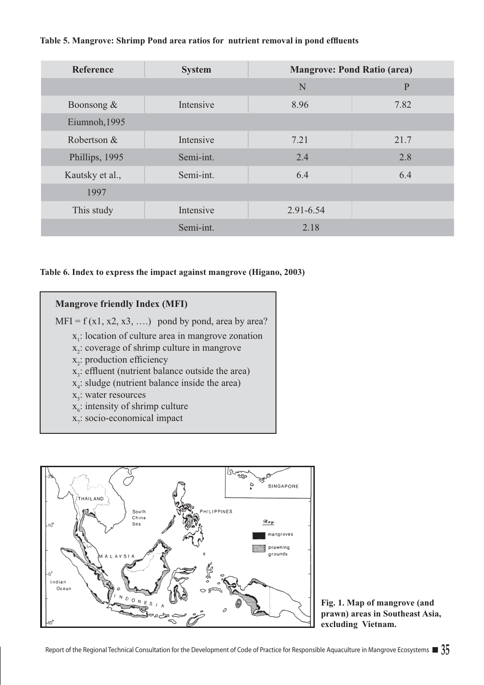## **Table 5. Mangrove: Shrimp Pond area ratios for nutrient removal in pond effluents**

| Reference       | <b>System</b> | <b>Mangrove: Pond Ratio (area)</b> |              |  |
|-----------------|---------------|------------------------------------|--------------|--|
|                 |               | N                                  | $\mathbf{P}$ |  |
| Boonsong $\&$   | Intensive     | 8.96                               | 7.82         |  |
| Eiumnoh, 1995   |               |                                    |              |  |
| Robertson &     | Intensive     | 7.21                               | 21.7         |  |
| Phillips, 1995  | Semi-int.     | 2.4                                | 2.8          |  |
| Kautsky et al., | Semi-int.     | 6.4                                | 6.4          |  |
| 1997            |               |                                    |              |  |
| This study      | Intensive     | 2.91-6.54                          |              |  |
|                 | Semi-int.     | 2.18                               |              |  |

### **Table 6. Index to express the impact against mangrove (Higano, 2003)**

## **Mangrove friendly Index (MFI)**

 $MFI = f(x1, x2, x3, \ldots)$  pond by pond, area by area?

- $x<sub>1</sub>$ : location of culture area in mangrove zonation
- $x_2$ : coverage of shrimp culture in mangrove
- $x_2$ : production efficiency
- $x_3$ : effluent (nutrient balance outside the area)
- $x_4$ : sludge (nutrient balance inside the area)
- $x<sub>5</sub>$ : water resources
- $x_6$ : intensity of shrimp culture
- $x_7$ : socio-economical impact



**Fig. 1. Map of mangrove (and prawn) areas in Southeast Asia, excluding Vietnam.**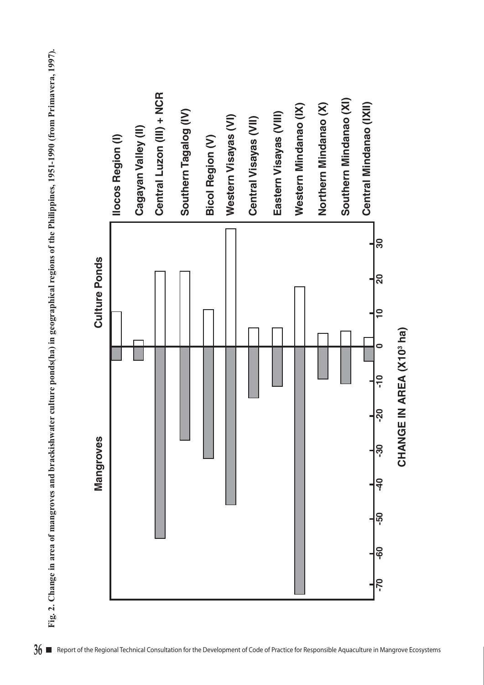